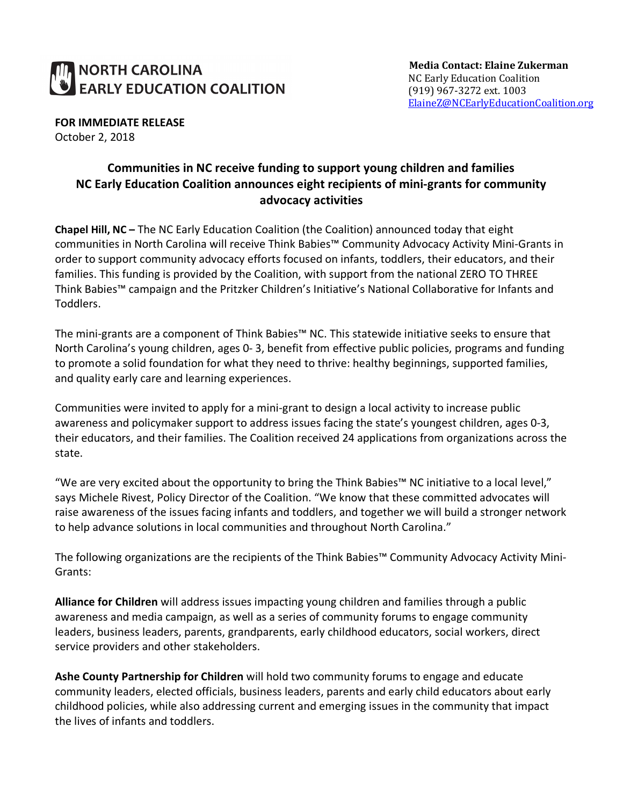## NORTH CAROLINA **EARLY EDUCATION COALITION**

**Media Contact: Elaine Zukerman** NC Early Education Coalition (919) 967-3272 ext. 1003 ElaineZ@NCEarlyEducationCoalition.org

**FOR IMMEDIATE RELEASE** October 2, 2018

## **Communities in NC receive funding to support young children and families NC Early Education Coalition announces eight recipients of mini-grants for community advocacy activities**

**Chapel Hill, NC –** The NC Early Education Coalition (the Coalition) announced today that eight communities in North Carolina will receive Think Babies™ Community Advocacy Activity Mini-Grants in order to support community advocacy efforts focused on infants, toddlers, their educators, and their families. This funding is provided by the Coalition, with support from the national ZERO TO THREE Think Babies™ campaign and the Pritzker Children's Initiative's National Collaborative for Infants and Toddlers.

The mini-grants are a component of Think Babies™ NC. This statewide initiative seeks to ensure that North Carolina's young children, ages 0- 3, benefit from effective public policies, programs and funding to promote a solid foundation for what they need to thrive: healthy beginnings, supported families, and quality early care and learning experiences.

Communities were invited to apply for a mini-grant to design a local activity to increase public awareness and policymaker support to address issues facing the state's youngest children, ages 0-3, their educators, and their families. The Coalition received 24 applications from organizations across the state.

"We are very excited about the opportunity to bring the Think Babies™ NC initiative to a local level," says Michele Rivest, Policy Director of the Coalition. "We know that these committed advocates will raise awareness of the issues facing infants and toddlers, and together we will build a stronger network to help advance solutions in local communities and throughout North Carolina."

The following organizations are the recipients of the Think Babies™ Community Advocacy Activity Mini-Grants:

**Alliance for Children** will address issues impacting young children and families through a public awareness and media campaign, as well as a series of community forums to engage community leaders, business leaders, parents, grandparents, early childhood educators, social workers, direct service providers and other stakeholders.

**Ashe County Partnership for Children** will hold two community forums to engage and educate community leaders, elected officials, business leaders, parents and early child educators about early childhood policies, while also addressing current and emerging issues in the community that impact the lives of infants and toddlers.